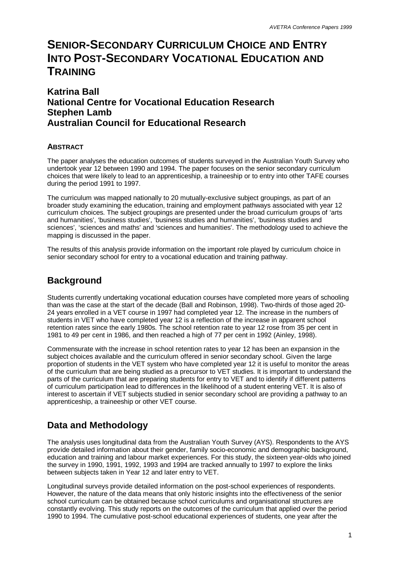# **SENIOR-SECONDARY CURRICULUM CHOICE AND ENTRY INTO POST-SECONDARY VOCATIONAL EDUCATION AND TRAINING**

### **Katrina Ball National Centre for Vocational Education Research Stephen Lamb Australian Council for Educational Research**

### **ABSTRACT**

The paper analyses the education outcomes of students surveyed in the Australian Youth Survey who undertook year 12 between 1990 and 1994. The paper focuses on the senior secondary curriculum choices that were likely to lead to an apprenticeship, a traineeship or to entry into other TAFE courses during the period 1991 to 1997.

The curriculum was mapped nationally to 20 mutually-exclusive subject groupings, as part of an broader study examining the education, training and employment pathways associated with year 12 curriculum choices. The subject groupings are presented under the broad curriculum groups of 'arts and humanities', 'business studies', 'business studies and humanities', 'business studies and sciences', 'sciences and maths' and 'sciences and humanities'. The methodology used to achieve the mapping is discussed in the paper.

The results of this analysis provide information on the important role played by curriculum choice in senior secondary school for entry to a vocational education and training pathway.

## **Background**

Students currently undertaking vocational education courses have completed more years of schooling than was the case at the start of the decade (Ball and Robinson, 1998). Two-thirds of those aged 20- 24 years enrolled in a VET course in 1997 had completed year 12. The increase in the numbers of students in VET who have completed year 12 is a reflection of the increase in apparent school retention rates since the early 1980s. The school retention rate to year 12 rose from 35 per cent in 1981 to 49 per cent in 1986, and then reached a high of 77 per cent in 1992 (Ainley, 1998).

Commensurate with the increase in school retention rates to year 12 has been an expansion in the subject choices available and the curriculum offered in senior secondary school. Given the large proportion of students in the VET system who have completed year 12 it is useful to monitor the areas of the curriculum that are being studied as a precursor to VET studies. It is important to understand the parts of the curriculum that are preparing students for entry to VET and to identify if different patterns of curriculum participation lead to differences in the likelihood of a student entering VET. It is also of interest to ascertain if VET subjects studied in senior secondary school are providing a pathway to an apprenticeship, a traineeship or other VET course.

## **Data and Methodology**

The analysis uses longitudinal data from the Australian Youth Survey (AYS). Respondents to the AYS provide detailed information about their gender, family socio-economic and demographic background, education and training and labour market experiences. For this study, the sixteen year-olds who joined the survey in 1990, 1991, 1992, 1993 and 1994 are tracked annually to 1997 to explore the links between subjects taken in Year 12 and later entry to VET.

Longitudinal surveys provide detailed information on the post-school experiences of respondents. However, the nature of the data means that only historic insights into the effectiveness of the senior school curriculum can be obtained because school curriculums and organisational structures are constantly evolving. This study reports on the outcomes of the curriculum that applied over the period 1990 to 1994. The cumulative post-school educational experiences of students, one year after the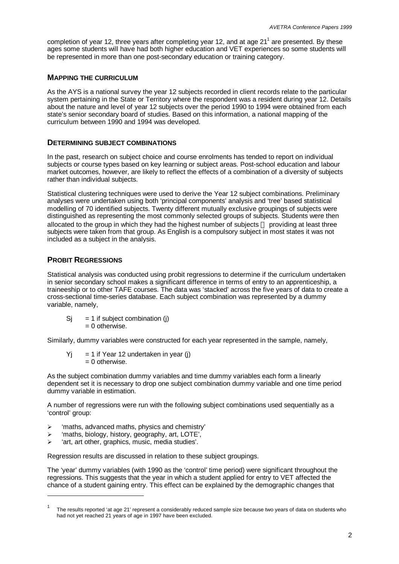completion of year 12, three years after completing year 12, and at age 21<sup>1</sup> are presented. By these ages some students will have had both higher education and VET experiences so some students will be represented in more than one post-secondary education or training category.

#### **MAPPING THE CURRICULUM**

As the AYS is a national survey the year 12 subjects recorded in client records relate to the particular system pertaining in the State or Territory where the respondent was a resident during year 12. Details about the nature and level of year 12 subjects over the period 1990 to 1994 were obtained from each state's senior secondary board of studies. Based on this information, a national mapping of the curriculum between 1990 and 1994 was developed.

#### **DETERMINING SUBJECT COMBINATIONS**

In the past, research on subject choice and course enrolments has tended to report on individual subjects or course types based on key learning or subject areas. Post-school education and labour market outcomes, however, are likely to reflect the effects of a combination of a diversity of subjects rather than individual subjects.

Statistical clustering techniques were used to derive the Year 12 subject combinations. Preliminary analyses were undertaken using both 'principal components' analysis and 'tree' based statistical modelling of 70 identified subjects. Twenty different mutually exclusive groupings of subjects were distinguished as representing the most commonly selected groups of subjects. Students were then allocated to the group in which they had the highest number of subjects — providing at least three subjects were taken from that group. As English is a compulsory subject in most states it was not included as a subject in the analysis.

#### **PROBIT REGRESSIONS**

l

Statistical analysis was conducted using probit regressions to determine if the curriculum undertaken in senior secondary school makes a significant difference in terms of entry to an apprenticeship, a traineeship or to other TAFE courses. The data was 'stacked' across the five years of data to create a cross-sectional time-series database. Each subject combination was represented by a dummy variable, namely,

 $Si = 1$  if subject combination (j)  $= 0$  otherwise.

Similarly, dummy variables were constructed for each year represented in the sample, namely,

 $Y_i$  = 1 if Year 12 undertaken in year (j)  $= 0$  otherwise.

As the subject combination dummy variables and time dummy variables each form a linearly dependent set it is necessary to drop one subject combination dummy variable and one time period dummy variable in estimation.

A number of regressions were run with the following subject combinations used sequentially as a 'control' group:

- $\triangleright$  'maths, advanced maths, physics and chemistry'
- $\triangleright$  'maths, biology, history, geography, art, LOTE',
- $\triangleright$  'art, art other, graphics, music, media studies'.

Regression results are discussed in relation to these subject groupings.

The 'year' dummy variables (with 1990 as the 'control' time period) were significant throughout the regressions. This suggests that the year in which a student applied for entry to VET affected the chance of a student gaining entry. This effect can be explained by the demographic changes that

<sup>1</sup> The results reported 'at age 21' represent a considerably reduced sample size because two years of data on students who had not yet reached 21 years of age in 1997 have been excluded.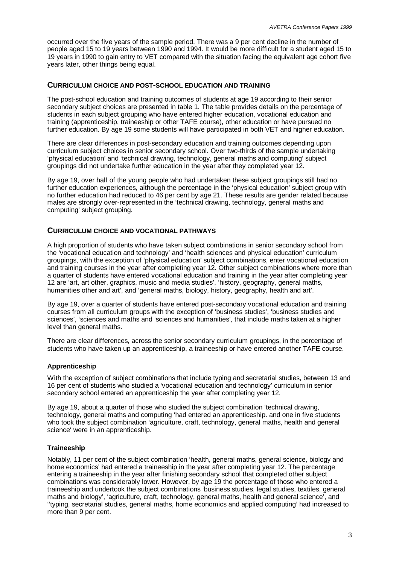occurred over the five years of the sample period. There was a 9 per cent decline in the number of people aged 15 to 19 years between 1990 and 1994. It would be more difficult for a student aged 15 to 19 years in 1990 to gain entry to VET compared with the situation facing the equivalent age cohort five years later, other things being equal.

#### **CURRICULUM CHOICE AND POST-SCHOOL EDUCATION AND TRAINING**

The post-school education and training outcomes of students at age 19 according to their senior secondary subject choices are presented in table 1. The table provides details on the percentage of students in each subject grouping who have entered higher education, vocational education and training (apprenticeship, traineeship or other TAFE course), other education or have pursued no further education. By age 19 some students will have participated in both VET and higher education.

There are clear differences in post-secondary education and training outcomes depending upon curriculum subject choices in senior secondary school. Over two-thirds of the sample undertaking 'physical education' and 'technical drawing, technology, general maths and computing' subject groupings did not undertake further education in the year after they completed year 12.

By age 19, over half of the young people who had undertaken these subject groupings still had no further education experiences, although the percentage in the 'physical education' subject group with no further education had reduced to 46 per cent by age 21. These results are gender related because males are strongly over-represented in the 'technical drawing, technology, general maths and computing' subject grouping.

#### **CURRICULUM CHOICE AND VOCATIONAL PATHWAYS**

A high proportion of students who have taken subject combinations in senior secondary school from the 'vocational education and technology' and 'health sciences and physical education' curriculum groupings, with the exception of 'physical education' subject combinations, enter vocational education and training courses in the year after completing year 12. Other subject combinations where more than a quarter of students have entered vocational education and training in the year after completing year 12 are 'art, art other, graphics, music and media studies', 'history, geography, general maths, humanities other and art', and 'general maths, biology, history, geography, health and art'.

By age 19, over a quarter of students have entered post-secondary vocational education and training courses from all curriculum groups with the exception of 'business studies', 'business studies and sciences', 'sciences and maths and 'sciences and humanities', that include maths taken at a higher level than general maths.

There are clear differences, across the senior secondary curriculum groupings, in the percentage of students who have taken up an apprenticeship, a traineeship or have entered another TAFE course.

#### **Apprenticeship**

With the exception of subject combinations that include typing and secretarial studies, between 13 and 16 per cent of students who studied a 'vocational education and technology' curriculum in senior secondary school entered an apprenticeship the year after completing year 12.

By age 19, about a quarter of those who studied the subject combination 'technical drawing, technology, general maths and computing 'had entered an apprenticeship. and one in five students who took the subject combination 'agriculture, craft, technology, general maths, health and general science' were in an apprenticeship.

#### **Traineeship**

Notably, 11 per cent of the subject combination 'health, general maths, general science, biology and home economics' had entered a traineeship in the year after completing year 12. The percentage entering a traineeship in the year after finishing secondary school that completed other subject combinations was considerably lower. However, by age 19 the percentage of those who entered a traineeship and undertook the subject combinations 'business studies, legal studies, textiles, general maths and biology', 'agriculture, craft, technology, general maths, health and general science', and ''typing, secretarial studies, general maths, home economics and applied computing' had increased to more than 9 per cent.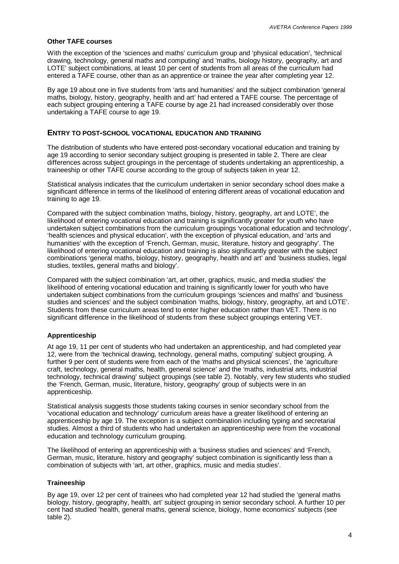#### **Other TAFE courses**

With the exception of the 'sciences and maths' curriculum group and 'physical education', 'technical drawing, technology, general maths and computing' and 'maths, biology history, geography, art and LOTE' subject combinations, at least 10 per cent of students from all areas of the curriculum had entered a TAFE course, other than as an apprentice or trainee the year after completing year 12.

By age 19 about one in five students from 'arts and humanities' and the subject combination 'general maths, biology, history, geography, health and art' had entered a TAFE course. The percentage of each subject grouping entering a TAFE course by age 21 had increased considerably over those undertaking a TAFE course to age 19.

#### **ENTRY TO POST-SCHOOL VOCATIONAL EDUCATION AND TRAINING**

The distribution of students who have entered post-secondary vocational education and training by age 19 according to senior secondary subject grouping is presented in table 2. There are clear differences across subject groupings in the percentage of students undertaking an apprenticeship, a traineeship or other TAFE course according to the group of subjects taken in year 12.

Statistical analysis indicates that the curriculum undertaken in senior secondary school does make a significant difference in terms of the likelihood of entering different areas of vocational education and training to age 19.

Compared with the subject combination 'maths, biology, history, geography, art and LOTE', the likelihood of entering vocational education and training is significantly greater for youth who have undertaken subject combinations from the curriculum groupings 'vocational education and technology', 'health sciences and physical education', with the exception of physical education, and 'arts and humanities' with the exception of 'French, German, music, literature, history and geography'. The likelihood of entering vocational education and training is also significantly greater with the subject combinations 'general maths, biology, history, geography, health and art' and 'business studies, legal studies, textiles, general maths and biology'.

Compared with the subject combination 'art, art other, graphics, music, and media studies' the likelihood of entering vocational education and training is significantly lower for youth who have undertaken subject combinations from the curriculum groupings 'sciences and maths' and 'business studies and sciences' and the subject combination 'maths, biology, history, geography, art and LOTE'. Students from these curriculum areas tend to enter higher education rather than VET. There is no significant difference in the likelihood of students from these subject groupings entering VET.

#### **Apprenticeship**

At age 19, 11 per cent of students who had undertaken an apprenticeship, and had completed year 12, were from the 'technical drawing, technology, general maths, computing' subject grouping. A further 9 per cent of students were from each of the 'maths and physical sciences', the 'agriculture craft, technology, general maths, health, general science' and the 'maths, industrial arts, industrial technology, technical drawing' subject groupings (see table 2). Notably, very few students who studied the 'French, German, music, literature, history, geography' group of subjects were in an apprenticeship.

Statistical analysis suggests those students taking courses in senior secondary school from the 'vocational education and technology' curriculum areas have a greater likelihood of entering an apprenticeship by age 19. The exception is a subject combination including typing and secretarial studies. Almost a third of students who had undertaken an apprenticeship were from the vocational education and technology curriculum grouping.

The likelihood of entering an apprenticeship with a 'business studies and sciences' and 'French, German, music, literature, history and geography' subject combination is significantly less than a combination of subjects with 'art, art other, graphics, music and media studies'.

#### **Traineeship**

By age 19, over 12 per cent of trainees who had completed year 12 had studied the 'general maths biology, history, geography, health, art' subject grouping in senior secondary school. A further 10 per cent had studied 'health, general maths, general science, biology, home economics' subjects (see table 2).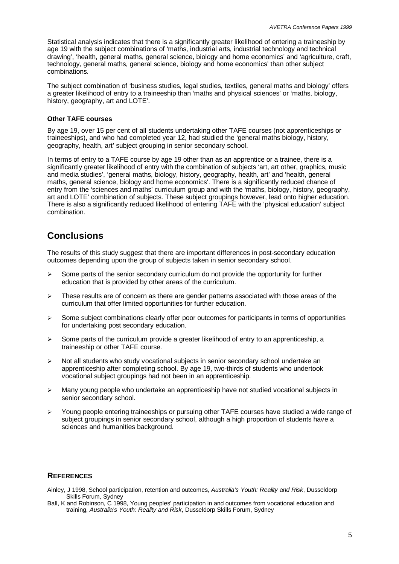Statistical analysis indicates that there is a significantly greater likelihood of entering a traineeship by age 19 with the subject combinations of 'maths, industrial arts, industrial technology and technical drawing', 'health, general maths, general science, biology and home economics' and 'agriculture, craft, technology, general maths, general science, biology and home economics' than other subject combinations.

The subject combination of 'business studies, legal studies, textiles, general maths and biology' offers a greater likelihood of entry to a traineeship than 'maths and physical sciences' or 'maths, biology, history, geography, art and LOTE'.

#### **Other TAFE courses**

By age 19, over 15 per cent of all students undertaking other TAFE courses (not apprenticeships or traineeships), and who had completed year 12, had studied the 'general maths biology, history, geography, health, art' subject grouping in senior secondary school.

In terms of entry to a TAFE course by age 19 other than as an apprentice or a trainee, there is a significantly greater likelihood of entry with the combination of subjects 'art, art other, graphics, music and media studies', 'general maths, biology, history, geography, health, art' and 'health, general maths, general science, biology and home economics'. There is a significantly reduced chance of entry from the 'sciences and maths' curriculum group and with the 'maths, biology, history, geography, art and LOTE' combination of subjects. These subject groupings however, lead onto higher education. There is also a significantly reduced likelihood of entering TAFE with the 'physical education' subject combination.

### **Conclusions**

The results of this study suggest that there are important differences in post-secondary education outcomes depending upon the group of subjects taken in senior secondary school.

- $\geq$  Some parts of the senior secondary curriculum do not provide the opportunity for further education that is provided by other areas of the curriculum.
- $\triangleright$  These results are of concern as there are gender patterns associated with those areas of the curriculum that offer limited opportunities for further education.
- $\triangleright$  Some subject combinations clearly offer poor outcomes for participants in terms of opportunities for undertaking post secondary education.
- $\triangleright$  Some parts of the curriculum provide a greater likelihood of entry to an apprenticeship, a traineeship or other TAFE course.
- $\triangleright$  Not all students who study vocational subjects in senior secondary school undertake an apprenticeship after completing school. By age 19, two-thirds of students who undertook vocational subject groupings had not been in an apprenticeship.
- ÿ Many young people who undertake an apprenticeship have not studied vocational subjects in senior secondary school.
- $\triangleright$  Young people entering traineeships or pursuing other TAFE courses have studied a wide range of subject groupings in senior secondary school, although a high proportion of students have a sciences and humanities background.

### **REFERENCES**

Ainley, J 1998, School participation, retention and outcomes, *Australia's Youth: Reality and Risk*, Dusseldorp Skills Forum, Sydney

Ball, K and Robinson, C 1998, Young peoples' participation in and outcomes from vocational education and training, *Australia's Youth: Reality and Risk*, Dusseldorp Skills Forum, Sydney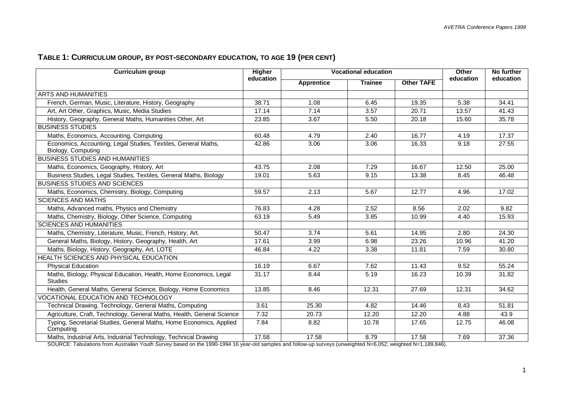## **TABLE 1: CURRICULUM GROUP, BY POST-SECONDARY EDUCATION, TO AGE 19 (PER CENT)**

| <b>Curriculum group</b>                                                              | <b>Higher</b> | <b>Vocational education</b> |                |                   | Other     | No further |
|--------------------------------------------------------------------------------------|---------------|-----------------------------|----------------|-------------------|-----------|------------|
|                                                                                      | education     | <b>Apprentice</b>           | <b>Trainee</b> | <b>Other TAFE</b> | education | education  |
| ARTS AND HUMANITIES                                                                  |               |                             |                |                   |           |            |
| French, German, Music, Literature, History, Geography                                | 38.71         | 1.08                        | 6.45           | 19.35             | 5.38      | 34.41      |
| Art, Art Other, Graphics, Music, Media Studies                                       | 17.14         | 7.14                        | 3.57           | 20.71             | 13.57     | 41.43      |
| History, Geography, General Maths, Humanities Other, Art                             | 23.85         | 3.67                        | 5.50           | 20.18             | 15.60     | 35.78      |
| <b>BUSINESS STUDIES</b>                                                              |               |                             |                |                   |           |            |
| Maths, Economics, Accounting, Computing                                              | 60.48         | 4.79                        | 2.40           | 16.77             | 4.19      | 17.37      |
| Economics, Accounting, Legal Studies, Textiles, General Maths,<br>Biology, Computing | 42.86         | 3.06                        | 3.06           | 16.33             | 9.18      | 27.55      |
| <b>BUSINESS STUDIES AND HUMANITIES</b>                                               |               |                             |                |                   |           |            |
| Maths, Economics, Geography, History, Art                                            | 43.75         | 2.08                        | 7.29           | 16.67             | 12.50     | 25.00      |
| Business Studies, Legal Studies, Textiles, General Maths, Biology                    | 19.01         | 5.63                        | 9.15           | 13.38             | 8.45      | 46.48      |
| <b>BUSINESS STUDIES AND SCIENCES</b>                                                 |               |                             |                |                   |           |            |
| Maths, Economics, Chemistry, Biology, Computing                                      | 59.57         | 2.13                        | 5.67           | 12.77             | 4.96      | 17.02      |
| <b>SCIENCES AND MATHS</b>                                                            |               |                             |                |                   |           |            |
| Maths, Advanced maths, Physics and Chemistry                                         | 76.83         | 4.28                        | 2.52           | 8.56              | 2.02      | 9.82       |
| Maths, Chemistry, Biology, Other Science, Computing                                  | 63.19         | 5.49                        | 3.85           | 10.99             | 4.40      | 15.93      |
| <b>SCIENCES AND HUMANITIES</b>                                                       |               |                             |                |                   |           |            |
| Maths, Chemistry, Literature, Music, French, History, Art.                           | 50.47         | 3.74                        | 5.61           | 14.95             | 2.80      | 24.30      |
| General Maths, Biology, History, Geography, Health, Art                              | 17.61         | 3.99                        | 6.98           | 23.26             | 10.96     | 41.20      |
| Maths, Biology, History, Geography, Art, LOTE                                        | 46.84         | 4.22                        | 3.38           | 11.81             | 7.59      | 30.80      |
| HEALTH SCIENCES AND PHYSICAL EDUCATION                                               |               |                             |                |                   |           |            |
| <b>Physical Education</b>                                                            | 16.19         | 6.67                        | 7.62           | 11.43             | 9.52      | 55.24      |
| Maths, Biology, Physical Education, Health, Home Economics, Legal<br><b>Studies</b>  | 31.17         | 8.44                        | 5.19           | 16.23             | 10.39     | 31.82      |
| Health, General Maths, General Science, Biology, Home Economics                      | 13.85         | 8.46                        | 12.31          | 27.69             | 12.31     | 34.62      |
| VOCATIONAL EDUCATION AND TECHNOLOGY                                                  |               |                             |                |                   |           |            |
| Technical Drawing, Technology, General Maths, Computing                              | 3.61          | 25.30                       | 4.82           | 14.46             | 8.43      | 51.81      |
| Agriculture, Craft, Technology, General Maths, Health, General Science               | 7.32          | 20.73                       | 12.20          | 12.20             | 4.88      | 43.9       |
| Typing, Secretarial Studies, General Maths, Home Economics, Applied<br>Computing     | 7.84          | 8.82                        | 10.78          | 17.65             | 12.75     | 46.08      |
| Maths, Industrial Arts, Industrial Technology, Technical Drawing                     | 17.58         | 17.58                       | 8.79           | 17.58             | 7.69      | 37.36      |

SOURCE: Tabulations from *Australian Youth Survey* based on the 1990-1994 16 year-old samples and follow-up surveys (unweighted N=6,052; weighted N=1,189,846).